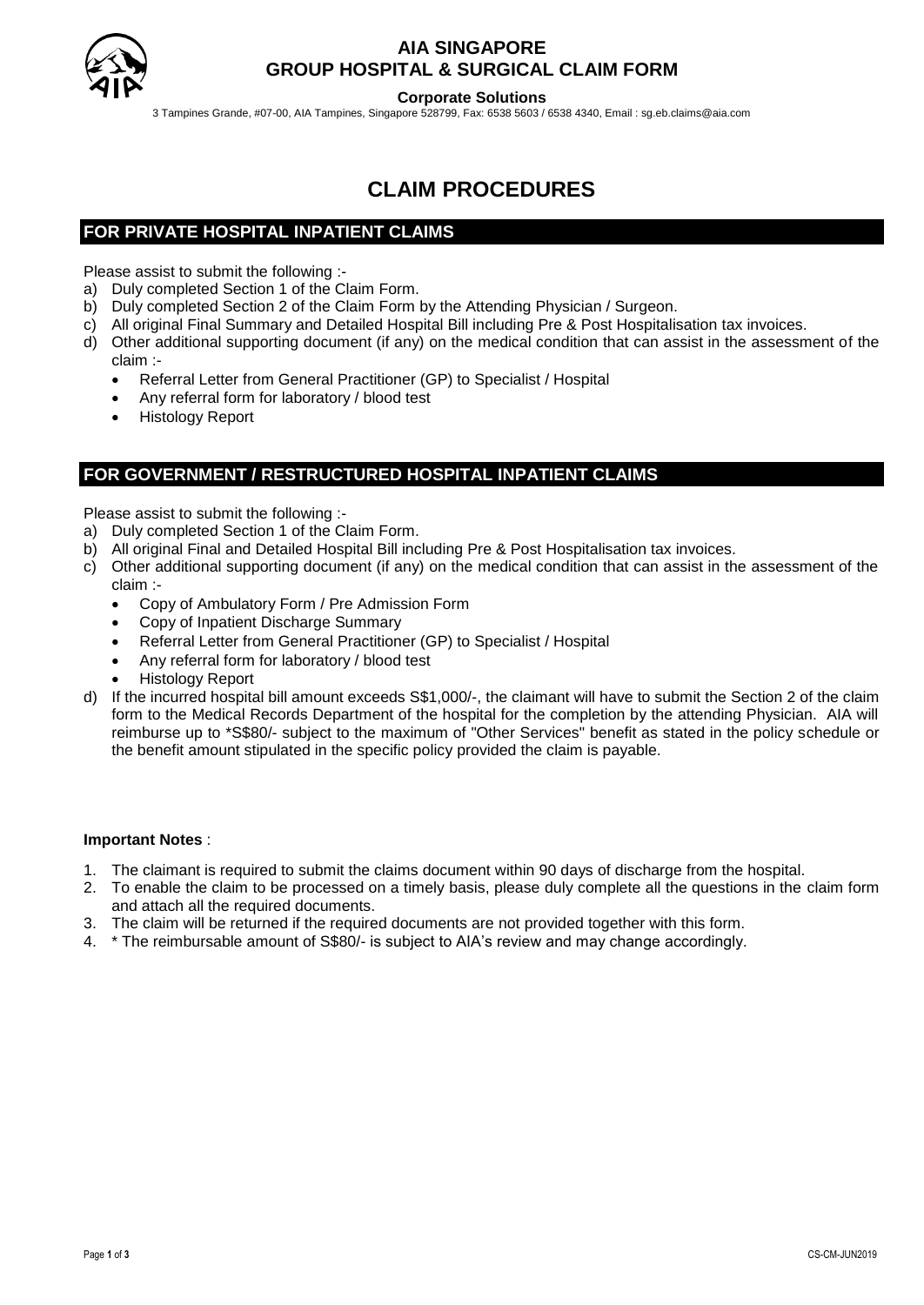

## **AIA SINGAPORE GROUP HOSPITAL & SURGICAL CLAIM FORM**

**Corporate Solutions**

3 Tampines Grande, #07-00, AIA Tampines, Singapore 528799, Fax: 6538 5603 / 6538 4340, Email : sg.eb.claims@aia.com

# **CLAIM PROCEDURES**

## **FOR PRIVATE HOSPITAL INPATIENT CLAIMS**

Please assist to submit the following :-

- a) Duly completed Section 1 of the Claim Form.
- b) Duly completed Section 2 of the Claim Form by the Attending Physician / Surgeon.
- c) All original Final Summary and Detailed Hospital Bill including Pre & Post Hospitalisation tax invoices.
- d) Other additional supporting document (if any) on the medical condition that can assist in the assessment of the claim :-
	- Referral Letter from General Practitioner (GP) to Specialist / Hospital
	- Any referral form for laboratory / blood test
	- Histology Report

## **FOR GOVERNMENT / RESTRUCTURED HOSPITAL INPATIENT CLAIMS**

Please assist to submit the following :-

- a) Duly completed Section 1 of the Claim Form.
- b) All original Final and Detailed Hospital Bill including Pre & Post Hospitalisation tax invoices.
- c) Other additional supporting document (if any) on the medical condition that can assist in the assessment of the claim :-
	- Copy of Ambulatory Form / Pre Admission Form
	- Copy of Inpatient Discharge Summary
	- Referral Letter from General Practitioner (GP) to Specialist / Hospital
	- Any referral form for laboratory / blood test
	- Histology Report
- d) If the incurred hospital bill amount exceeds S\$1,000/-, the claimant will have to submit the Section 2 of the claim form to the Medical Records Department of the hospital for the completion by the attending Physician. AIA will reimburse up to \*S\$80/- subject to the maximum of "Other Services" benefit as stated in the policy schedule or the benefit amount stipulated in the specific policy provided the claim is payable.

#### **Important Notes** :

- 1. The claimant is required to submit the claims document within 90 days of discharge from the hospital.
- 2. To enable the claim to be processed on a timely basis, please duly complete all the questions in the claim form and attach all the required documents.
- 3. The claim will be returned if the required documents are not provided together with this form.
- 4. \* The reimbursable amount of S\$80/- is subject to AIA's review and may change accordingly.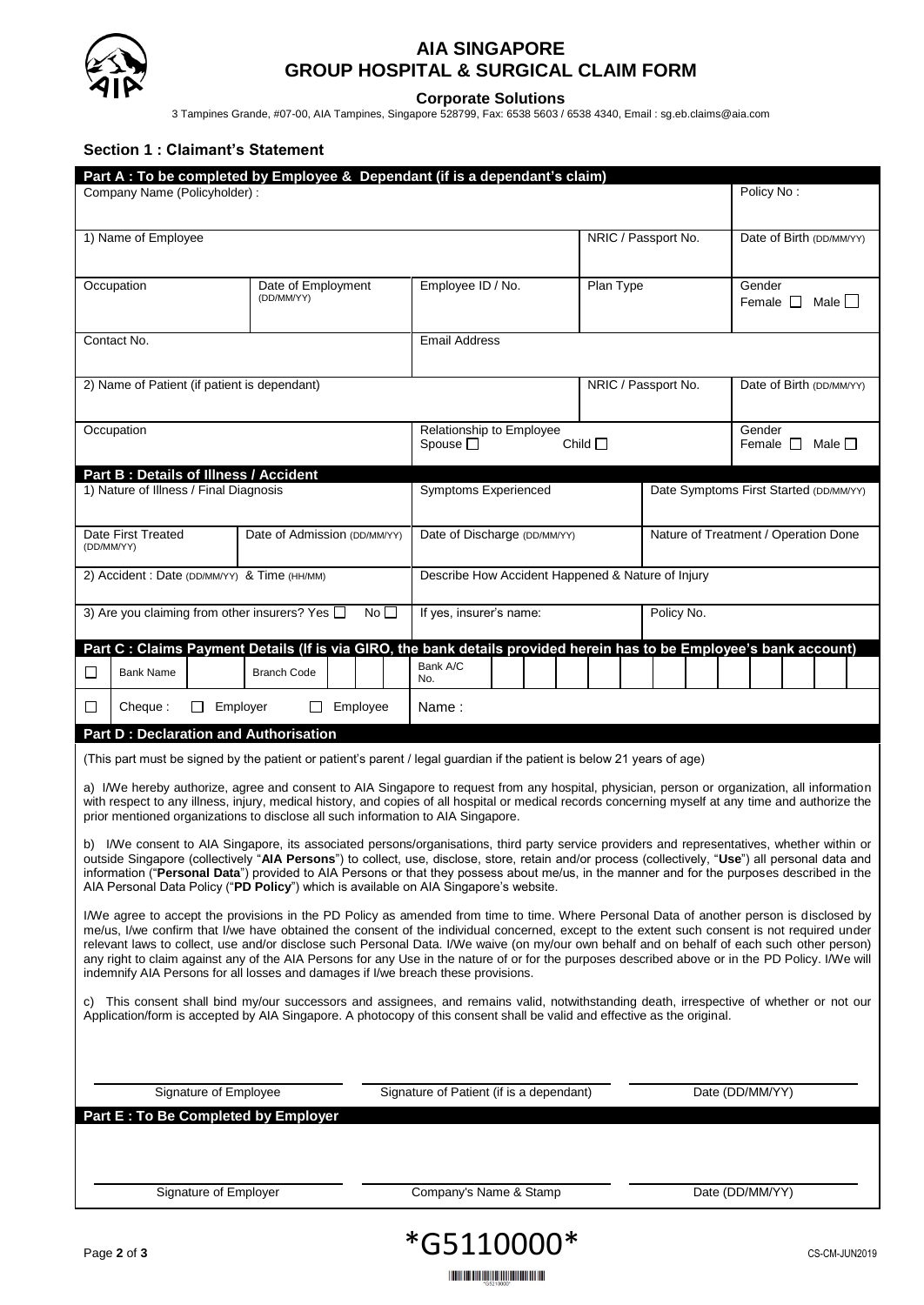

## **AIA SINGAPORE GROUP HOSPITAL & SURGICAL CLAIM FORM**

**Corporate Solutions**

3 Tampines Grande, #07-00, AIA Tampines, Singapore 528799, Fax: 6538 5603 / 6538 4340, Email : sg.eb.claims@aia.com

#### **Section 1 : Claimant's Statement**

|                                                                                                                                                                                                                                                                                                                                                                                          |                                                                                                                                                                        |                          | Part A : To be completed by Employee & Dependant (if is a dependant's claim)                                                                                                                                                                                                                                                                                                                                                                                                                                                                                                                                                                                                      |                              |                                                   |                                              |  |  |                                      |                     |                 |  |  |                                        |                                        |  |  |  |
|------------------------------------------------------------------------------------------------------------------------------------------------------------------------------------------------------------------------------------------------------------------------------------------------------------------------------------------------------------------------------------------|------------------------------------------------------------------------------------------------------------------------------------------------------------------------|--------------------------|-----------------------------------------------------------------------------------------------------------------------------------------------------------------------------------------------------------------------------------------------------------------------------------------------------------------------------------------------------------------------------------------------------------------------------------------------------------------------------------------------------------------------------------------------------------------------------------------------------------------------------------------------------------------------------------|------------------------------|---------------------------------------------------|----------------------------------------------|--|--|--------------------------------------|---------------------|-----------------|--|--|----------------------------------------|----------------------------------------|--|--|--|
|                                                                                                                                                                                                                                                                                                                                                                                          | Company Name (Policyholder):                                                                                                                                           |                          |                                                                                                                                                                                                                                                                                                                                                                                                                                                                                                                                                                                                                                                                                   |                              |                                                   |                                              |  |  |                                      |                     |                 |  |  |                                        | Policy No:                             |  |  |  |
| 1) Name of Employee                                                                                                                                                                                                                                                                                                                                                                      |                                                                                                                                                                        |                          |                                                                                                                                                                                                                                                                                                                                                                                                                                                                                                                                                                                                                                                                                   |                              |                                                   |                                              |  |  |                                      | NRIC / Passport No. |                 |  |  |                                        | Date of Birth (DD/MM/YY)               |  |  |  |
|                                                                                                                                                                                                                                                                                                                                                                                          | Occupation<br>Date of Employment<br>(DD/MM/YY)                                                                                                                         |                          |                                                                                                                                                                                                                                                                                                                                                                                                                                                                                                                                                                                                                                                                                   |                              | Employee ID / No.                                 |                                              |  |  | Plan Type                            |                     |                 |  |  | Gender<br>Male    <br>Female $\square$ |                                        |  |  |  |
| Contact No.                                                                                                                                                                                                                                                                                                                                                                              |                                                                                                                                                                        |                          |                                                                                                                                                                                                                                                                                                                                                                                                                                                                                                                                                                                                                                                                                   |                              |                                                   | <b>Email Address</b>                         |  |  |                                      |                     |                 |  |  |                                        |                                        |  |  |  |
| 2) Name of Patient (if patient is dependant)                                                                                                                                                                                                                                                                                                                                             |                                                                                                                                                                        |                          |                                                                                                                                                                                                                                                                                                                                                                                                                                                                                                                                                                                                                                                                                   |                              |                                                   |                                              |  |  |                                      | NRIC / Passport No. |                 |  |  |                                        | Date of Birth (DD/MM/YY)               |  |  |  |
| Occupation                                                                                                                                                                                                                                                                                                                                                                               |                                                                                                                                                                        |                          |                                                                                                                                                                                                                                                                                                                                                                                                                                                                                                                                                                                                                                                                                   |                              |                                                   | Relationship to Employee<br>Spouse $\square$ |  |  |                                      | Child $\square$     |                 |  |  |                                        | Gender<br>Male $\Box$<br>Female $\Box$ |  |  |  |
|                                                                                                                                                                                                                                                                                                                                                                                          |                                                                                                                                                                        |                          | Part B: Details of Illness / Accident                                                                                                                                                                                                                                                                                                                                                                                                                                                                                                                                                                                                                                             |                              |                                                   |                                              |  |  |                                      |                     |                 |  |  |                                        |                                        |  |  |  |
|                                                                                                                                                                                                                                                                                                                                                                                          | 1) Nature of Illness / Final Diagnosis                                                                                                                                 |                          |                                                                                                                                                                                                                                                                                                                                                                                                                                                                                                                                                                                                                                                                                   |                              |                                                   | <b>Symptoms Experienced</b>                  |  |  |                                      |                     |                 |  |  | Date Symptoms First Started (DD/MM/YY) |                                        |  |  |  |
|                                                                                                                                                                                                                                                                                                                                                                                          | Date First Treated<br>(DD/MM/YY)                                                                                                                                       |                          | Date of Admission (DD/MM/YY)                                                                                                                                                                                                                                                                                                                                                                                                                                                                                                                                                                                                                                                      | Date of Discharge (DD/MM/YY) |                                                   |                                              |  |  | Nature of Treatment / Operation Done |                     |                 |  |  |                                        |                                        |  |  |  |
| 2) Accident : Date (DD/MM/YY) & Time (HH/MM)                                                                                                                                                                                                                                                                                                                                             |                                                                                                                                                                        |                          |                                                                                                                                                                                                                                                                                                                                                                                                                                                                                                                                                                                                                                                                                   |                              | Describe How Accident Happened & Nature of Injury |                                              |  |  |                                      |                     |                 |  |  |                                        |                                        |  |  |  |
| 3) Are you claiming from other insurers? Yes $\Box$<br>No <sub>1</sub>                                                                                                                                                                                                                                                                                                                   |                                                                                                                                                                        |                          |                                                                                                                                                                                                                                                                                                                                                                                                                                                                                                                                                                                                                                                                                   |                              | If yes, insurer's name:                           |                                              |  |  | Policy No.                           |                     |                 |  |  |                                        |                                        |  |  |  |
| $\Box$                                                                                                                                                                                                                                                                                                                                                                                   | <b>Bank Name</b>                                                                                                                                                       |                          | Part C : Claims Payment Details (If is via GIRO, the bank details provided herein has to be Employee's bank account)<br><b>Branch Code</b>                                                                                                                                                                                                                                                                                                                                                                                                                                                                                                                                        |                              |                                                   | Bank A/C                                     |  |  |                                      |                     |                 |  |  |                                        |                                        |  |  |  |
| □                                                                                                                                                                                                                                                                                                                                                                                        | Cheque:                                                                                                                                                                | Employer<br>$\mathsf{L}$ | Ш                                                                                                                                                                                                                                                                                                                                                                                                                                                                                                                                                                                                                                                                                 | Employee                     |                                                   | No.<br>Name :                                |  |  |                                      |                     |                 |  |  |                                        |                                        |  |  |  |
|                                                                                                                                                                                                                                                                                                                                                                                          |                                                                                                                                                                        |                          |                                                                                                                                                                                                                                                                                                                                                                                                                                                                                                                                                                                                                                                                                   |                              |                                                   |                                              |  |  |                                      |                     |                 |  |  |                                        |                                        |  |  |  |
|                                                                                                                                                                                                                                                                                                                                                                                          | <b>Part D: Declaration and Authorisation</b><br>(This part must be signed by the patient or patient's parent / legal guardian if the patient is below 21 years of age) |                          |                                                                                                                                                                                                                                                                                                                                                                                                                                                                                                                                                                                                                                                                                   |                              |                                                   |                                              |  |  |                                      |                     |                 |  |  |                                        |                                        |  |  |  |
| a) I/We hereby authorize, agree and consent to AIA Singapore to request from any hospital, physician, person or organization, all information<br>with respect to any illness, injury, medical history, and copies of all hospital or medical records concerning myself at any time and authorize the<br>prior mentioned organizations to disclose all such information to AIA Singapore. |                                                                                                                                                                        |                          |                                                                                                                                                                                                                                                                                                                                                                                                                                                                                                                                                                                                                                                                                   |                              |                                                   |                                              |  |  |                                      |                     |                 |  |  |                                        |                                        |  |  |  |
| b)                                                                                                                                                                                                                                                                                                                                                                                       |                                                                                                                                                                        |                          | I/We consent to AIA Singapore, its associated persons/organisations, third party service providers and representatives, whether within or<br>outside Singapore (collectively " <b>AIA Persons</b> ") to collect, use, disclose, store, retain and/or process (collectively, " <b>Use</b> ") all personal data and<br>information ("Personal Data") provided to AIA Persons or that they possess about me/us, in the manner and for the purposes described in the<br>AIA Personal Data Policy ("PD Policy") which is available on AIA Singapore's website.                                                                                                                         |                              |                                                   |                                              |  |  |                                      |                     |                 |  |  |                                        |                                        |  |  |  |
|                                                                                                                                                                                                                                                                                                                                                                                          |                                                                                                                                                                        |                          | I/We agree to accept the provisions in the PD Policy as amended from time to time. Where Personal Data of another person is disclosed by<br>me/us, I/we confirm that I/we have obtained the consent of the individual concerned, except to the extent such consent is not required under<br>relevant laws to collect, use and/or disclose such Personal Data. I/We waive (on my/our own behalf and on behalf of each such other person)<br>any right to claim against any of the AIA Persons for any Use in the nature of or for the purposes described above or in the PD Policy. I/We will<br>indemnify AIA Persons for all losses and damages if I/we breach these provisions. |                              |                                                   |                                              |  |  |                                      |                     |                 |  |  |                                        |                                        |  |  |  |
|                                                                                                                                                                                                                                                                                                                                                                                          |                                                                                                                                                                        |                          | c) This consent shall bind my/our successors and assignees, and remains valid, notwithstanding death, irrespective of whether or not our<br>Application/form is accepted by AIA Singapore. A photocopy of this consent shall be valid and effective as the original.                                                                                                                                                                                                                                                                                                                                                                                                              |                              |                                                   |                                              |  |  |                                      |                     |                 |  |  |                                        |                                        |  |  |  |
| Signature of Employee                                                                                                                                                                                                                                                                                                                                                                    |                                                                                                                                                                        |                          |                                                                                                                                                                                                                                                                                                                                                                                                                                                                                                                                                                                                                                                                                   |                              | Signature of Patient (if is a dependant)          |                                              |  |  |                                      |                     | Date (DD/MM/YY) |  |  |                                        |                                        |  |  |  |
|                                                                                                                                                                                                                                                                                                                                                                                          |                                                                                                                                                                        |                          | Part E : To Be Completed by Employer                                                                                                                                                                                                                                                                                                                                                                                                                                                                                                                                                                                                                                              |                              |                                                   |                                              |  |  |                                      |                     |                 |  |  |                                        |                                        |  |  |  |
|                                                                                                                                                                                                                                                                                                                                                                                          |                                                                                                                                                                        |                          |                                                                                                                                                                                                                                                                                                                                                                                                                                                                                                                                                                                                                                                                                   |                              |                                                   |                                              |  |  |                                      |                     |                 |  |  |                                        |                                        |  |  |  |
| Signature of Employer                                                                                                                                                                                                                                                                                                                                                                    |                                                                                                                                                                        |                          |                                                                                                                                                                                                                                                                                                                                                                                                                                                                                                                                                                                                                                                                                   |                              | Company's Name & Stamp                            |                                              |  |  |                                      | Date (DD/MM/YY)     |                 |  |  |                                        |                                        |  |  |  |
|                                                                                                                                                                                                                                                                                                                                                                                          |                                                                                                                                                                        |                          |                                                                                                                                                                                                                                                                                                                                                                                                                                                                                                                                                                                                                                                                                   |                              |                                                   |                                              |  |  |                                      |                     |                 |  |  |                                        |                                        |  |  |  |